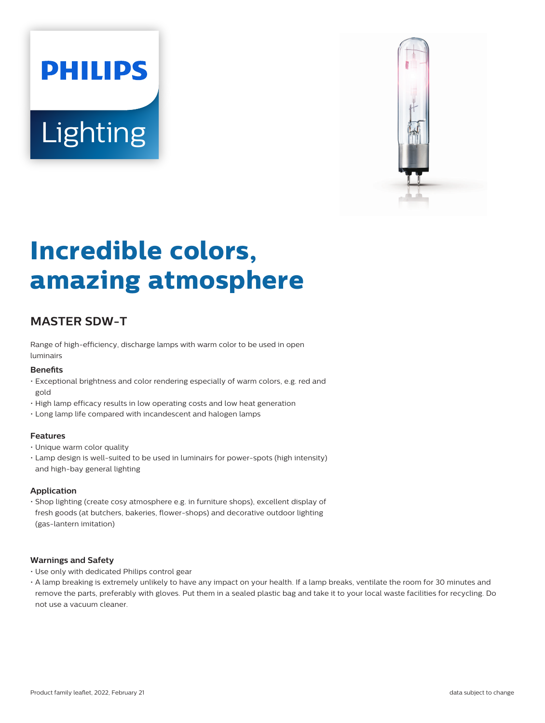# **PHILIPS Lighting**



# **Incredible colors, amazing atmosphere**

# **MASTER SDW-T**

Range of high-efficiency, discharge lamps with warm color to be used in open luminairs

#### **Benefits**

- Exceptional brightness and color rendering especially of warm colors, e.g. red and gold
- High lamp efficacy results in low operating costs and low heat generation
- Long lamp life compared with incandescent and halogen lamps

#### **Features**

- Unique warm color quality
- Lamp design is well-suited to be used in luminairs for power-spots (high intensity) and high-bay general lighting

#### **Application**

• Shop lighting (create cosy atmosphere e.g. in furniture shops), excellent display of fresh goods (at butchers, bakeries, flower-shops) and decorative outdoor lighting (gas-lantern imitation)

#### **Warnings and Safety**

- Use only with dedicated Philips control gear
- A lamp breaking is extremely unlikely to have any impact on your health. If a lamp breaks, ventilate the room for 30 minutes and remove the parts, preferably with gloves. Put them in a sealed plastic bag and take it to your local waste facilities for recycling. Do not use a vacuum cleaner.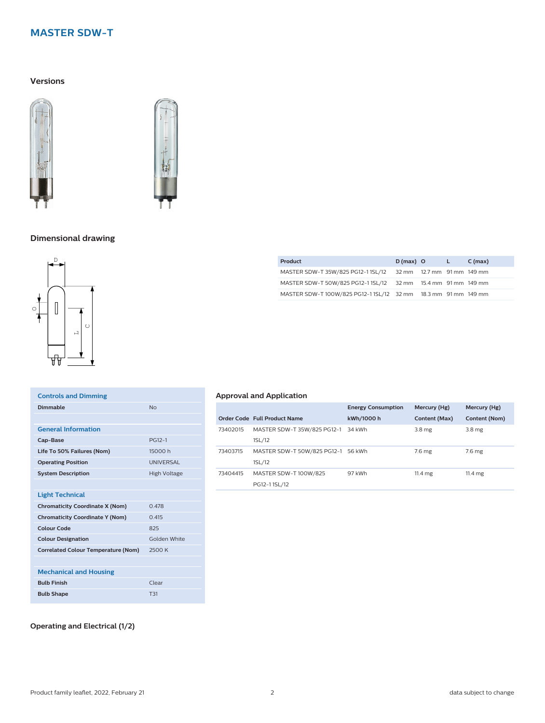# **MASTER SDW-T**

#### **Versions**





#### **Dimensional drawing**



| <b>Controls and Dimming</b>                |                  |
|--------------------------------------------|------------------|
|                                            |                  |
| Dimmable                                   | N <sub>0</sub>   |
|                                            |                  |
| <b>General Information</b>                 |                  |
| Cap-Base                                   | PG12-1           |
| Life To 50% Failures (Nom)                 | 15000 h          |
| <b>Operating Position</b>                  | <b>UNIVERSAL</b> |
| <b>System Description</b>                  | High Voltage     |
|                                            |                  |
| <b>Light Technical</b>                     |                  |
| <b>Chromaticity Coordinate X (Nom)</b>     | Q 478            |
| <b>Chromaticity Coordinate Y (Nom)</b>     | 0.415            |
| Colour Code                                | 825              |
| <b>Colour Designation</b>                  | Golden White     |
| <b>Correlated Colour Temperature (Nom)</b> | 2500 K           |
|                                            |                  |
| <b>Mechanical and Housing</b>              |                  |
| <b>Bulb Finish</b>                         | Clear            |
| <b>Bulb Shape</b>                          | T31              |
|                                            |                  |

# **Approval and Application**

|          |                                              | <b>Energy Consumption</b> | Mercury (Hg)      | Mercury (Hg)      |
|----------|----------------------------------------------|---------------------------|-------------------|-------------------|
|          | Order Code Full Product Name                 | kWh/1000 h                | Content (Max)     | Content (Nom)     |
| 73402015 | MASTER SDW-T 35W/825 PG12-1 34 kWh<br>1SL/12 |                           | 3.8 <sub>mg</sub> | 3.8 mg            |
| 73403715 | MASTER SDW-T 50W/825 PG12-1 56 kWh<br>1SL/12 |                           | 7.6 <sub>mg</sub> | 7.6 <sub>mg</sub> |
| 73404415 | MASTER SDW-T 100W/825<br>PG12-11SL/12        | 97 kWh                    | $11.4 \text{ mg}$ | $11.4 \text{ mg}$ |

**Product D** (max) **O L C** (max) MASTER SDW-T 35W/825 PG12-1 1SL/12 32 mm 12.7 mm 91 mm 149 mm MASTER SDW-T 50W/825 PG12-1 1SL/12 32 mm 15.4 mm 91 mm 149 mm MASTER SDW-T 100W/825 PG12-1 1SL/12 32 mm 18.3 mm 91 mm 149 mm

#### **Operating and Electrical (1/2)**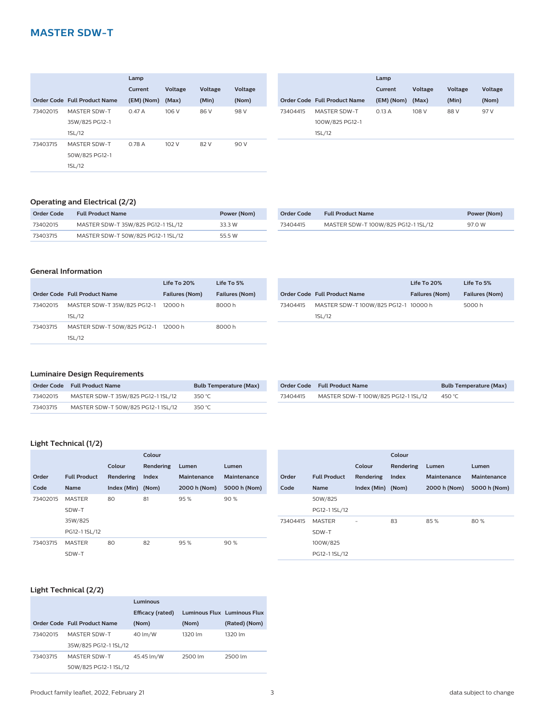### **MASTER SDW-T**

|          |                              | Lamp       |         |                |         |
|----------|------------------------------|------------|---------|----------------|---------|
|          |                              | Current    | Voltage | <b>Voltage</b> | Voltage |
|          | Order Code Full Product Name | (EM) (Nom) | (Max)   | (Min)          | (Nom)   |
| 73402015 | <b>MASTER SDW-T</b>          | 0.47A      | 106 V   | 86 V           | 98 V    |
|          | 35W/825 PG12-1               |            |         |                |         |
|          | 1SL/12                       |            |         |                |         |
| 73403715 | <b>MASTER SDW-T</b>          | 0.78A      | 102 V   | 82 V           | 90 V    |
|          | 50W/825 PG12-1               |            |         |                |         |
|          | 1SL/12                       |            |         |                |         |

|                     | Lamp                         |                |                |         |
|---------------------|------------------------------|----------------|----------------|---------|
|                     | Current                      | <b>Voltage</b> | <b>Voltage</b> | Voltage |
|                     | (EM) (Nom)                   | (Max)          | (Min)          | (Nom)   |
| <b>MASTER SDW-T</b> | 0.13A                        | 108 V          | 88 V           | 97 V    |
| 100W/825 PG12-1     |                              |                |                |         |
| 1SL/12              |                              |                |                |         |
|                     | Order Code Full Product Name |                |                |         |

#### **Operating and Electrical (2/2)**

| Order Code | <b>Full Product Name</b>          | Power (Nom) |
|------------|-----------------------------------|-------------|
| 73402015   | MASTER SDW-T 35W/825 PG12-11SL/12 | 33 3 W      |
| 73403715   | MASTER SDW-T 50W/825 PG12-11SL/12 | 55 5 W      |

| 73404415 | MASTER SDW-T 100W/825 PG12-11SL/12 | 97 O W |
|----------|------------------------------------|--------|

#### **General Information**

|          |                                       | Life To $20\%$        | Life To 5%            |
|----------|---------------------------------------|-----------------------|-----------------------|
|          | Order Code Full Product Name          | <b>Failures (Nom)</b> | <b>Failures (Nom)</b> |
| 73402015 | MASTER SDW-T 35W/825 PG12-1<br>1SL/12 | 12000h                | 8000 h                |
| 73403715 | MASTER SDW-T 50W/825 PG12-1<br>1SL/12 | 12000 h               | 8000 h                |

|          |                                      | Life To 20%           | Life To 5%            |
|----------|--------------------------------------|-----------------------|-----------------------|
|          | <b>Order Code Full Product Name</b>  | <b>Failures (Nom)</b> | <b>Failures (Nom)</b> |
| 73404415 | MASTER SDW-T 100W/825 PG12-1 10000 h |                       | 5000 h                |
|          | 1SL/12                               |                       |                       |

#### **Luminaire Design Requirements**

|          | Order Code Full Product Name       | <b>Bulb Temperature (Max)</b> |
|----------|------------------------------------|-------------------------------|
| 73402015 | MASTER SDW-T 35W/825 PG12-11SL/12  | 350 °C                        |
| 73403715 | MASTER SDW-T 50W/825 PG12-1 1SL/12 | 350 °C.                       |

|          | Order Code Full Product Name        | <b>Bulb Temperature (Max)</b> |
|----------|-------------------------------------|-------------------------------|
| 73404415 | MASTER SDW-T 100W/825 PG12-1 1SL/12 | 450 °C                        |

#### **Light Technical (1/2)**

|          |                     |             | Colour    |              |              |
|----------|---------------------|-------------|-----------|--------------|--------------|
|          |                     | Colour      | Rendering | Lumen        | Lumen        |
| Order    | <b>Full Product</b> | Rendering   | Index     | Maintenance  | Maintenance  |
| Code     | <b>Name</b>         | Index (Min) | (Nom)     | 2000 h (Nom) | 5000 h (Nom) |
| 73402015 | <b>MASTER</b>       | 80          | 81        | 95%          | 90%          |
|          | SDW-T               |             |           |              |              |
|          | 35W/825             |             |           |              |              |
|          | PG12-11SL/12        |             |           |              |              |
| 73403715 | <b>MASTER</b>       | 80          | 82        | 95%          | 90%          |
|          | SDW-T               |             |           |              |              |

|          |                     |             | Colour    |              |              |
|----------|---------------------|-------------|-----------|--------------|--------------|
|          |                     | Colour      | Rendering | Lumen        | Lumen        |
| Order    | <b>Full Product</b> | Rendering   | Index     | Maintenance  | Maintenance  |
| Code     | <b>Name</b>         | Index (Min) | (Nom)     | 2000 h (Nom) | 5000 h (Nom) |
|          | 50W/825             |             |           |              |              |
|          | PG12-11SL/12        |             |           |              |              |
| 73404415 | <b>MASTER</b>       |             | 83        | 85%          | 80%          |
|          | SDW-T               |             |           |              |              |
|          | 100W/825            |             |           |              |              |
|          | PG12-11SL/12        |             |           |              |              |

#### **Light Technical (2/2)**

|          |                              | Luminous         |         |                             |  |
|----------|------------------------------|------------------|---------|-----------------------------|--|
|          |                              | Efficacy (rated) |         | Luminous Flux Luminous Flux |  |
|          | Order Code Full Product Name | (Nom)            | (Nom)   | (Rated) (Nom)               |  |
| 73402015 | <b>MASTER SDW-T</b>          | 40 lm/W          | 1320 lm | 1320 lm                     |  |
|          | 35W/825 PG12-1 1SL/12        |                  |         |                             |  |
| 73403715 | MASTER SDW-T                 | 45.45 lm/W       | 2500 lm | 2500 lm                     |  |
|          | 50W/825 PG12-1 1SL/12        |                  |         |                             |  |